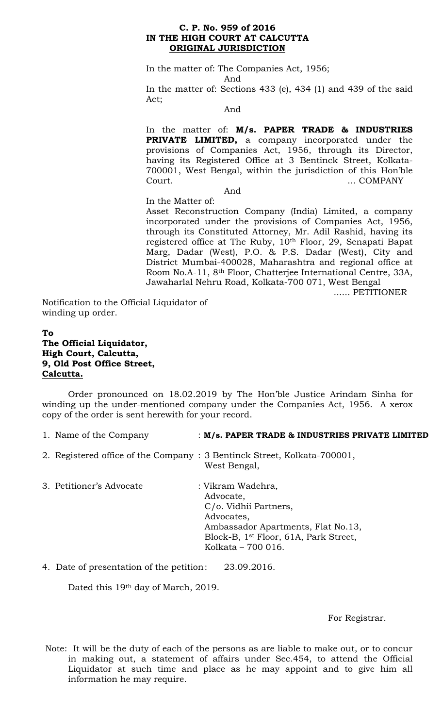#### **C. P. No. 959 of 2016 IN THE HIGH COURT AT CALCUTTA ORIGINAL JURISDICTION**

In the matter of: The Companies Act, 1956;

And

In the matter of: Sections 433 (e), 434 (1) and 439 of the said Act;

And

In the matter of: **M/s. PAPER TRADE & INDUSTRIES PRIVATE LIMITED,** a company incorporated under the provisions of Companies Act, 1956, through its Director, having its Registered Office at 3 Bentinck Street, Kolkata-700001, West Bengal, within the jurisdiction of this Hon'ble Court. … COMPANY

And

In the Matter of: Asset Reconstruction Company (India) Limited, a company incorporated under the provisions of Companies Act, 1956, through its Constituted Attorney, Mr. Adil Rashid, having its registered office at The Ruby, 10th Floor, 29, Senapati Bapat Marg, Dadar (West), P.O. & P.S. Dadar (West), City and District Mumbai-400028, Maharashtra and regional office at Room No.A-11, 8th Floor, Chatterjee International Centre, 33A, Jawaharlal Nehru Road, Kolkata-700 071, West Bengal

...... PETITIONER

Notification to the Official Liquidator of winding up order.

# **To The Official Liquidator, High Court, Calcutta, 9, Old Post Office Street, Calcutta.**

Order pronounced on 18.02.2019 by The Hon'ble Justice Arindam Sinha for winding up the under-mentioned company under the Companies Act, 1956. A xerox copy of the order is sent herewith for your record.

| 1. Name of the Company<br>: M/s. PAPER TRADE & INDUSTRIES PRIVATE LIMITED |
|---------------------------------------------------------------------------|
|---------------------------------------------------------------------------|

- 2. Registered office of the Company : 3 Bentinck Street, Kolkata-700001, West Bengal,
- 3. Petitioner's Advocate : Vikram Wadehra, Advocate, C/o. Vidhii Partners, Advocates, Ambassador Apartments, Flat No.13, Block-B, 1st Floor, 61A, Park Street, Kolkata – 700 016.

# 4. Date of presentation of the petition: 23.09.2016.

Dated this 19th day of March, 2019.

For Registrar.

Note: It will be the duty of each of the persons as are liable to make out, or to concur in making out, a statement of affairs under Sec.454, to attend the Official Liquidator at such time and place as he may appoint and to give him all information he may require.